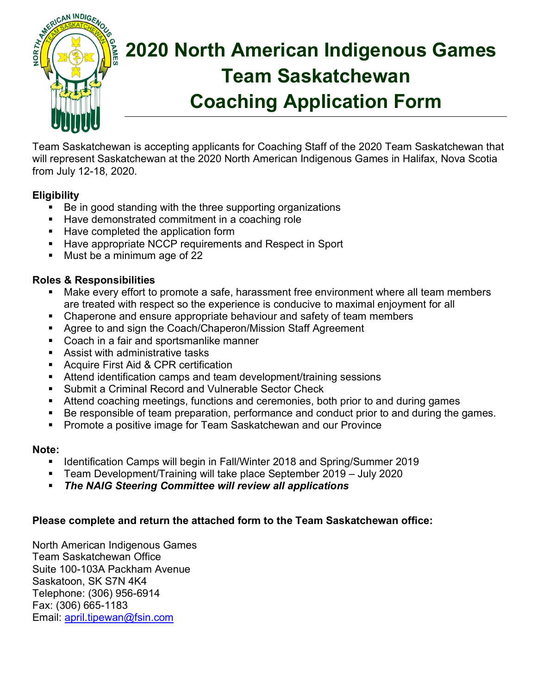

# **2020 North American Indigenous Games Team Saskatchewan Coaching Application Form**

Team Saskatchewan is accepting applicants for Coaching Staff of the 2020 Team Saskatchewan that will represent Saskatchewan at the 2020 North American Indigenous Games in Halifax, Nova Scotia from July 12-18, 2020.

# **Eligibility**

- Be in good standing with the three supporting organizations
- Have demonstrated commitment in a coaching role
- Have completed the application form
- Have appropriate NCCP requirements and Respect in Sport
- § Must be a minimum age of 22

# **Roles & Responsibilities**

- Make every effort to promote a safe, harassment free environment where all team members are treated with respect so the experience is conducive to maximal enjoyment for all
- Chaperone and ensure appropriate behaviour and safety of team members
- Agree to and sign the Coach/Chaperon/Mission Staff Agreement
- Coach in a fair and sportsmanlike manner
- § Assist with administrative tasks
- Acquire First Aid & CPR certification
- Attend identification camps and team development/training sessions
- § Submit a Criminal Record and Vulnerable Sector Check
- § Attend coaching meetings, functions and ceremonies, both prior to and during games
- Be responsible of team preparation, performance and conduct prior to and during the games.
- Promote a positive image for Team Saskatchewan and our Province

#### **Note:**

- § Identification Camps will begin in Fall/Winter 2018 and Spring/Summer 2019
- § Team Development/Training will take place September 2019 July 2020
- § *The NAIG Steering Committee will review all applications*

## **Please complete and return the attached form to the Team Saskatchewan office:**

North American Indigenous Games Team Saskatchewan Office Suite 100-103A Packham Avenue Saskatoon, SK S7N 4K4 Telephone: (306) 956-6914 Fax: (306) 665-1183 Email: april.tipewan@fsin.com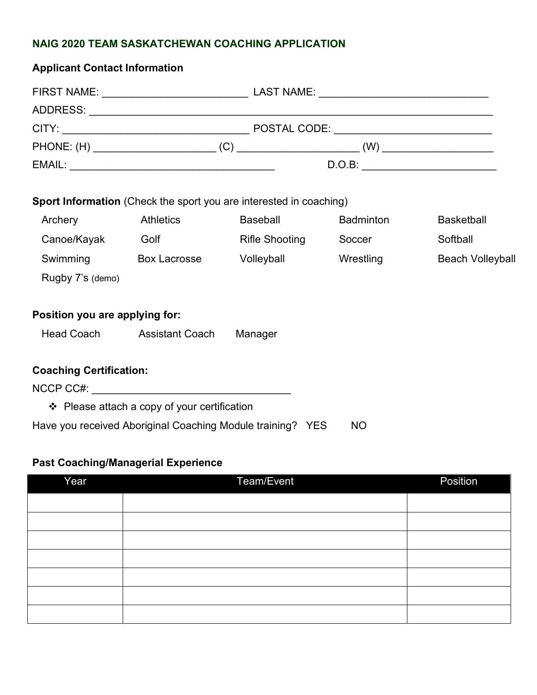### **NAIG 2020 TEAM SASKATCHEWAN COACHING APPLICATION**

| <b>Applicant Contact Information</b> |                                                                           |                       |           |                         |  |  |  |
|--------------------------------------|---------------------------------------------------------------------------|-----------------------|-----------|-------------------------|--|--|--|
|                                      |                                                                           |                       |           |                         |  |  |  |
|                                      |                                                                           |                       |           |                         |  |  |  |
|                                      |                                                                           |                       |           |                         |  |  |  |
|                                      |                                                                           |                       |           |                         |  |  |  |
|                                      | D.O.B:                                                                    |                       |           |                         |  |  |  |
|                                      | <b>Sport Information</b> (Check the sport you are interested in coaching) |                       |           |                         |  |  |  |
| Archery                              | <b>Athletics</b>                                                          | <b>Baseball</b>       | Badminton | <b>Basketball</b>       |  |  |  |
| Canoe/Kayak                          | Golf                                                                      | <b>Rifle Shooting</b> | Soccer    | Softball                |  |  |  |
| Swimming                             | Box Lacrosse                                                              | Volleyball            | Wrestling | <b>Beach Volleyball</b> |  |  |  |
| Rugby 7's (demo)                     |                                                                           |                       |           |                         |  |  |  |
| Position you are applying for:       |                                                                           |                       |           |                         |  |  |  |
|                                      | Head Coach Assistant Coach                                                | Manager               |           |                         |  |  |  |
| <b>Coaching Certification:</b>       |                                                                           |                       |           |                         |  |  |  |
|                                      |                                                                           |                       |           |                         |  |  |  |

 $\div$  Please attach a copy of your certification

Have you received Aboriginal Coaching Module training? YES NO

## **Past Coaching/Managerial Experience**

| Year | Team/Event | Position |
|------|------------|----------|
|      |            |          |
|      |            |          |
|      |            |          |
|      |            |          |
|      |            |          |
|      |            |          |
|      |            |          |